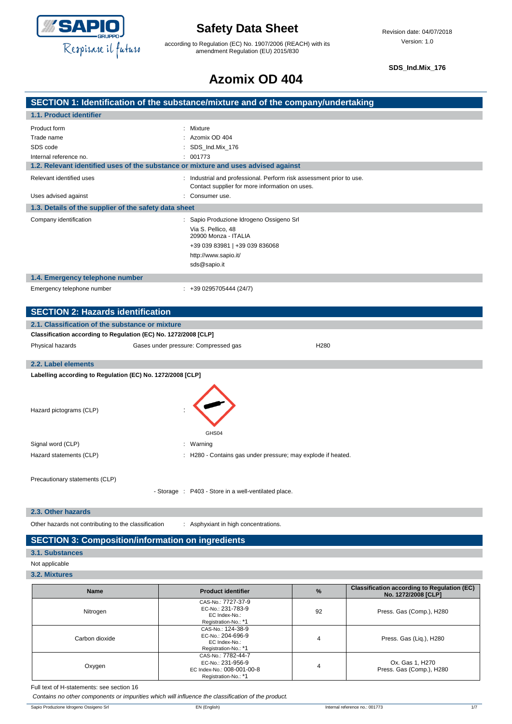

according to Regulation (EC) No. 1907/2006 (REACH) with its amendment Regulation (EU) 2015/830

**SDS\_Ind.Mix\_176**

# **Azomix OD 404**

|                                                                 | SECTION 1: Identification of the substance/mixture and of the company/undertaking                                                                                |
|-----------------------------------------------------------------|------------------------------------------------------------------------------------------------------------------------------------------------------------------|
| 1.1. Product identifier                                         |                                                                                                                                                                  |
| Product form<br>Trade name<br>SDS code                          | Mixture<br>Azomix OD 404<br>SDS_Ind.Mix_176                                                                                                                      |
| Internal reference no.                                          | : 001773                                                                                                                                                         |
|                                                                 | 1.2. Relevant identified uses of the substance or mixture and uses advised against                                                                               |
| Relevant identified uses                                        | : Industrial and professional. Perform risk assessment prior to use.<br>Contact supplier for more information on uses.                                           |
| Uses advised against                                            | : Consumer use.                                                                                                                                                  |
| 1.3. Details of the supplier of the safety data sheet           |                                                                                                                                                                  |
| Company identification                                          | : Sapio Produzione Idrogeno Ossigeno Srl<br>Via S. Pellico, 48<br>20900 Monza - ITALIA<br>+39 039 83981   +39 039 836068<br>http://www.sapio.it/<br>sds@sapio.it |
| 1.4. Emergency telephone number                                 |                                                                                                                                                                  |
| Emergency telephone number                                      | $: +390295705444(24/7)$                                                                                                                                          |
| <b>SECTION 2: Hazards identification</b>                        |                                                                                                                                                                  |
| 2.1. Classification of the substance or mixture                 |                                                                                                                                                                  |
| Classification according to Regulation (EC) No. 1272/2008 [CLP] |                                                                                                                                                                  |
| Physical hazards                                                | Gases under pressure: Compressed gas<br>H <sub>280</sub>                                                                                                         |
| 2.2. Label elements                                             |                                                                                                                                                                  |
| Labelling according to Regulation (EC) No. 1272/2008 [CLP]      |                                                                                                                                                                  |
| Hazard pictograms (CLP)                                         | GHS04                                                                                                                                                            |
| Signal word (CLP)                                               | : Warning                                                                                                                                                        |
| Hazard statements (CLP)                                         | H280 - Contains gas under pressure; may explode if heated.                                                                                                       |

Precautionary statements (CLP)

- Storage : P403 - Store in a well-ventilated place.

#### **2.3. Other hazards**

Other hazards not contributing to the classification : Asphyxiant in high concentrations.

### **SECTION 3: Composition/information on ingredients**

#### **3.1. Substances**

- Not applicable
- **3.2. Mixtures**

| <b>Name</b>    | <b>Product identifier</b>                                                                     | $\frac{9}{6}$ | <b>Classification according to Regulation (EC)</b><br>No. 1272/2008 [CLP] |
|----------------|-----------------------------------------------------------------------------------------------|---------------|---------------------------------------------------------------------------|
| Nitrogen       | CAS-No.: 7727-37-9<br>EC-No.: 231-783-9<br>EC Index-No.:<br>Registration-No.: *1              | 92            | Press. Gas (Comp.), H280                                                  |
| Carbon dioxide | CAS-No.: 124-38-9<br>EC-No.: 204-696-9<br>EC Index-No.:<br>Registration-No.: *1               | 4             | Press. Gas (Liq.), H280                                                   |
| Oxygen         | CAS-No.: 7782-44-7<br>EC-No.: 231-956-9<br>EC Index-No.: 008-001-00-8<br>Registration-No.: *1 | 4             | Ox. Gas 1, H270<br>Press. Gas (Comp.), H280                               |

Full text of H-statements: see section 16

*Contains no other components or impurities which will influence the classification of the product.*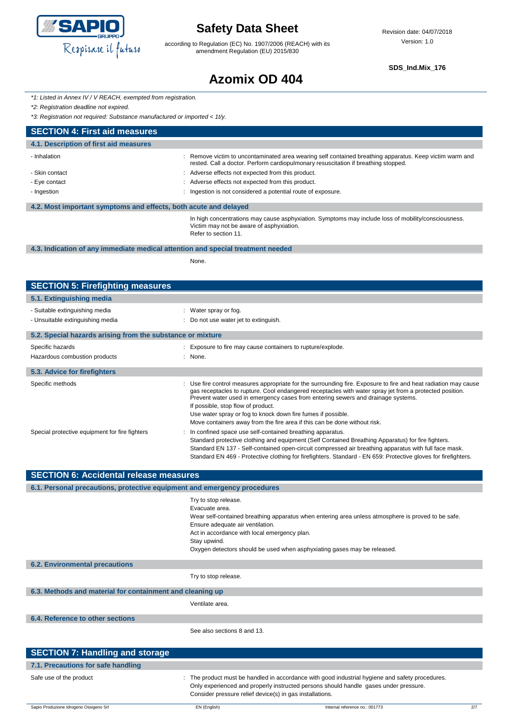

according to Regulation (EC) No. 1907/2006 (REACH) with its amendment Regulation (EU) 2015/830

**SDS\_Ind.Mix\_176**

# **Azomix OD 404**

*\*1: Listed in Annex IV / V REACH, exempted from registration.*

*\*2: Registration deadline not expired.*

*\*3: Registration not required: Substance manufactured or imported < 1t/y.*

| <b>SECTION 4: First aid measures</b>                             |                                                                                                                                                                                             |
|------------------------------------------------------------------|---------------------------------------------------------------------------------------------------------------------------------------------------------------------------------------------|
| 4.1. Description of first aid measures                           |                                                                                                                                                                                             |
| - Inhalation                                                     | Remove victim to uncontaminated area wearing self contained breathing apparatus. Keep victim warm and<br>rested. Call a doctor. Perform cardiopulmonary resuscitation if breathing stopped. |
| - Skin contact                                                   | : Adverse effects not expected from this product.                                                                                                                                           |
| - Eye contact                                                    | : Adverse effects not expected from this product.                                                                                                                                           |
| - Ingestion                                                      | Ingestion is not considered a potential route of exposure.                                                                                                                                  |
| 4.2. Most important symptoms and effects, both acute and delayed |                                                                                                                                                                                             |
|                                                                  | In high concentrations may cause asphyxiation. Symptoms may include loss of mobility/consciousness.<br>Victim may not be aware of asphyxiation.<br>Refer to section 11.                     |

#### **4.3. Indication of any immediate medical attention and special treatment needed**

None.

| <b>SECTION 5: Firefighting measures</b>                    |                                                                                                                                                                                                                                                                                                                                                                                                                                                                                                   |
|------------------------------------------------------------|---------------------------------------------------------------------------------------------------------------------------------------------------------------------------------------------------------------------------------------------------------------------------------------------------------------------------------------------------------------------------------------------------------------------------------------------------------------------------------------------------|
| 5.1. Extinguishing media                                   |                                                                                                                                                                                                                                                                                                                                                                                                                                                                                                   |
| - Suitable extinguishing media                             | : Water spray or fog.                                                                                                                                                                                                                                                                                                                                                                                                                                                                             |
| - Unsuitable extinguishing media                           | : Do not use water jet to extinguish.                                                                                                                                                                                                                                                                                                                                                                                                                                                             |
| 5.2. Special hazards arising from the substance or mixture |                                                                                                                                                                                                                                                                                                                                                                                                                                                                                                   |
| Specific hazards                                           | : Exposure to fire may cause containers to rupture/explode.                                                                                                                                                                                                                                                                                                                                                                                                                                       |
| Hazardous combustion products                              | $:$ None.                                                                                                                                                                                                                                                                                                                                                                                                                                                                                         |
| 5.3. Advice for firefighters                               |                                                                                                                                                                                                                                                                                                                                                                                                                                                                                                   |
| Specific methods                                           | : Use fire control measures appropriate for the surrounding fire. Exposure to fire and heat radiation may cause<br>gas receptacles to rupture. Cool endangered receptacles with water spray jet from a protected position.<br>Prevent water used in emergency cases from entering sewers and drainage systems.<br>If possible, stop flow of product.<br>Use water spray or fog to knock down fire fumes if possible.<br>Move containers away from the fire area if this can be done without risk. |
| Special protective equipment for fire fighters             | : In confined space use self-contained breathing apparatus.<br>Standard protective clothing and equipment (Self Contained Breathing Apparatus) for fire fighters.<br>Standard EN 137 - Self-contained open-circuit compressed air breathing apparatus with full face mask.<br>Standard EN 469 - Protective clothing for firefighters. Standard - EN 659: Protective gloves for firefighters.                                                                                                      |

| <b>SECTION 6: Accidental release measures</b>                            |                                                                                                                                                                                                                                                                                                                              |  |
|--------------------------------------------------------------------------|------------------------------------------------------------------------------------------------------------------------------------------------------------------------------------------------------------------------------------------------------------------------------------------------------------------------------|--|
| 6.1. Personal precautions, protective equipment and emergency procedures |                                                                                                                                                                                                                                                                                                                              |  |
|                                                                          | Try to stop release.<br>Evacuate area.<br>Wear self-contained breathing apparatus when entering area unless atmosphere is proved to be safe.<br>Ensure adequate air ventilation.<br>Act in accordance with local emergency plan.<br>Stay upwind.<br>Oxygen detectors should be used when asphyxiating gases may be released. |  |
| <b>6.2. Environmental precautions</b>                                    |                                                                                                                                                                                                                                                                                                                              |  |
|                                                                          | Try to stop release.                                                                                                                                                                                                                                                                                                         |  |
| 6.3. Methods and material for containment and cleaning up                |                                                                                                                                                                                                                                                                                                                              |  |
|                                                                          | Ventilate area.                                                                                                                                                                                                                                                                                                              |  |
| 6.4. Reference to other sections                                         |                                                                                                                                                                                                                                                                                                                              |  |
|                                                                          | See also sections 8 and 13.                                                                                                                                                                                                                                                                                                  |  |
| <b>SECTION 7: Handling and storage</b>                                   |                                                                                                                                                                                                                                                                                                                              |  |
| 7.1. Precautions for safe handling                                       |                                                                                                                                                                                                                                                                                                                              |  |

| Safe use of the product | The product must be handled in accordance with good industrial hygiene and safety procedures. |
|-------------------------|-----------------------------------------------------------------------------------------------|
|                         | Only experienced and properly instructed persons should handle gases under pressure.          |
|                         | Consider pressure relief device(s) in gas installations.                                      |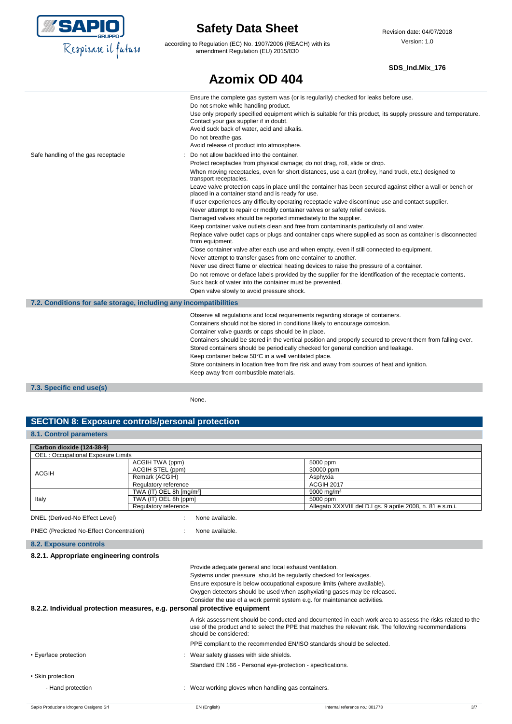

according to Regulation (EC) No. 1907/2006 (REACH) with its amendment Regulation (EU) 2015/830

**Azomix OD 404**

#### **SDS\_Ind.Mix\_176**

|                                                                   | Ensure the complete gas system was (or is regularily) checked for leaks before use.                                                                                                 |
|-------------------------------------------------------------------|-------------------------------------------------------------------------------------------------------------------------------------------------------------------------------------|
|                                                                   | Do not smoke while handling product.                                                                                                                                                |
|                                                                   | Use only properly specified equipment which is suitable for this product, its supply pressure and temperature.<br>Contact your gas supplier if in doubt.                            |
|                                                                   | Avoid suck back of water, acid and alkalis.                                                                                                                                         |
|                                                                   | Do not breathe gas.                                                                                                                                                                 |
|                                                                   | Avoid release of product into atmosphere.                                                                                                                                           |
| Safe handling of the gas receptacle                               | Do not allow backfeed into the container.                                                                                                                                           |
|                                                                   | Protect receptacles from physical damage; do not drag, roll, slide or drop.                                                                                                         |
|                                                                   | When moving receptacles, even for short distances, use a cart (trolley, hand truck, etc.) designed to<br>transport receptacles.                                                     |
|                                                                   | Leave valve protection caps in place until the container has been secured against either a wall or bench or<br>placed in a container stand and is ready for use.                    |
|                                                                   | If user experiences any difficulty operating receptacle valve discontinue use and contact supplier.<br>Never attempt to repair or modify container valves or safety relief devices. |
|                                                                   | Damaged valves should be reported immediately to the supplier.                                                                                                                      |
|                                                                   | Keep container valve outlets clean and free from contaminants particularly oil and water.                                                                                           |
|                                                                   | Replace valve outlet caps or plugs and container caps where supplied as soon as container is disconnected<br>from equipment.                                                        |
|                                                                   | Close container valve after each use and when empty, even if still connected to equipment.                                                                                          |
|                                                                   | Never attempt to transfer gases from one container to another.                                                                                                                      |
|                                                                   | Never use direct flame or electrical heating devices to raise the pressure of a container.                                                                                          |
|                                                                   | Do not remove or deface labels provided by the supplier for the identification of the receptacle contents.<br>Suck back of water into the container must be prevented.              |
|                                                                   | Open valve slowly to avoid pressure shock.                                                                                                                                          |
| 7.2. Conditions for safe storage, including any incompatibilities |                                                                                                                                                                                     |
|                                                                   | Observe all regulations and local requirements regarding storage of containers.                                                                                                     |
|                                                                   | Containers should not be stored in conditions likely to encourage corrosion.                                                                                                        |
|                                                                   | Container valve guards or caps should be in place.                                                                                                                                  |
|                                                                   | Containers should be stored in the vertical position and properly secured to prevent them from falling over.                                                                        |
|                                                                   | Stored containers should be periodically checked for general condition and leakage.                                                                                                 |
|                                                                   | Keep container below 50°C in a well ventilated place.                                                                                                                               |
|                                                                   | Store containers in location free from fire risk and away from sources of heat and ignition.<br>Keep away from combustible materials.                                               |
| 7.3. Specific end use(s)                                          |                                                                                                                                                                                     |
|                                                                   |                                                                                                                                                                                     |

None.

### **SECTION 8: Exposure controls/personal protection**

### **8.1. Control parameters**

| Carbon dioxide (124-38-9)                                                 |                                                                                                                                                                                                                                              |                                                             |  |                                                                                                                                                                                                                                                                                                        |     |
|---------------------------------------------------------------------------|----------------------------------------------------------------------------------------------------------------------------------------------------------------------------------------------------------------------------------------------|-------------------------------------------------------------|--|--------------------------------------------------------------------------------------------------------------------------------------------------------------------------------------------------------------------------------------------------------------------------------------------------------|-----|
| <b>OEL: Occupational Exposure Limits</b>                                  |                                                                                                                                                                                                                                              |                                                             |  |                                                                                                                                                                                                                                                                                                        |     |
| ACGIH TWA (ppm)                                                           |                                                                                                                                                                                                                                              |                                                             |  | 5000 ppm                                                                                                                                                                                                                                                                                               |     |
| <b>ACGIH</b>                                                              | ACGIH STEL (ppm)                                                                                                                                                                                                                             |                                                             |  | 30000 ppm                                                                                                                                                                                                                                                                                              |     |
|                                                                           | Remark (ACGIH)                                                                                                                                                                                                                               |                                                             |  | Asphyxia                                                                                                                                                                                                                                                                                               |     |
|                                                                           | Regulatory reference                                                                                                                                                                                                                         |                                                             |  | <b>ACGIH 2017</b>                                                                                                                                                                                                                                                                                      |     |
|                                                                           | TWA (IT) OEL 8h [mg/m <sup>3</sup> ]                                                                                                                                                                                                         |                                                             |  | 9000 mg/m <sup>3</sup>                                                                                                                                                                                                                                                                                 |     |
| Italy                                                                     | TWA (IT) OEL 8h [ppm]                                                                                                                                                                                                                        |                                                             |  | 5000 ppm                                                                                                                                                                                                                                                                                               |     |
|                                                                           | Regulatory reference                                                                                                                                                                                                                         |                                                             |  | Allegato XXXVIII del D.Lgs. 9 aprile 2008, n. 81 e s.m.i.                                                                                                                                                                                                                                              |     |
| DNEL (Derived-No Effect Level)                                            |                                                                                                                                                                                                                                              | None available.                                             |  |                                                                                                                                                                                                                                                                                                        |     |
| PNEC (Predicted No-Effect Concentration)                                  |                                                                                                                                                                                                                                              | None available.                                             |  |                                                                                                                                                                                                                                                                                                        |     |
| 8.2. Exposure controls                                                    |                                                                                                                                                                                                                                              |                                                             |  |                                                                                                                                                                                                                                                                                                        |     |
| 8.2.1. Appropriate engineering controls                                   |                                                                                                                                                                                                                                              |                                                             |  |                                                                                                                                                                                                                                                                                                        |     |
| 8.2.2. Individual protection measures, e.g. personal protective equipment |                                                                                                                                                                                                                                              | Provide adequate general and local exhaust ventilation.     |  | Systems under pressure should be regularily checked for leakages.<br>Ensure exposure is below occupational exposure limits (where available).<br>Oxygen detectors should be used when asphyxiating gases may be released.<br>Consider the use of a work permit system e.g. for maintenance activities. |     |
|                                                                           | A risk assessment should be conducted and documented in each work area to assess the risks related to the<br>use of the product and to select the PPE that matches the relevant risk. The following recommendations<br>should be considered: |                                                             |  |                                                                                                                                                                                                                                                                                                        |     |
|                                                                           |                                                                                                                                                                                                                                              |                                                             |  | PPE compliant to the recommended EN/ISO standards should be selected.                                                                                                                                                                                                                                  |     |
| • Eye/face protection                                                     |                                                                                                                                                                                                                                              | Wear safety glasses with side shields.                      |  |                                                                                                                                                                                                                                                                                                        |     |
|                                                                           |                                                                                                                                                                                                                                              | Standard EN 166 - Personal eye-protection - specifications. |  |                                                                                                                                                                                                                                                                                                        |     |
| • Skin protection                                                         |                                                                                                                                                                                                                                              |                                                             |  |                                                                                                                                                                                                                                                                                                        |     |
| - Hand protection                                                         |                                                                                                                                                                                                                                              | : Wear working gloves when handling gas containers.         |  |                                                                                                                                                                                                                                                                                                        |     |
| Sapio Produzione Idrogeno Ossigeno Srl                                    |                                                                                                                                                                                                                                              | EN (English)                                                |  | Internal reference no.: 001773                                                                                                                                                                                                                                                                         | 3/7 |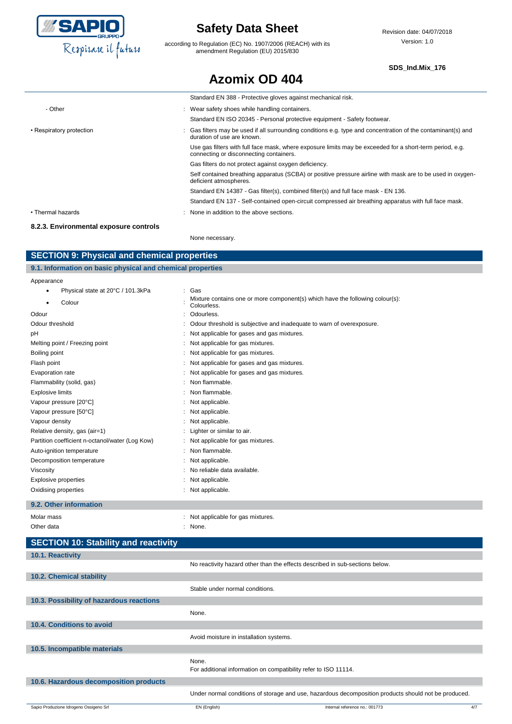

according to Regulation (EC) No. 1907/2006 (REACH) with its amendment Regulation (EU) 2015/830

#### **SDS\_Ind.Mix\_176**

|                                        | <b>Azomix OD 404</b>                                                                                                                                |
|----------------------------------------|-----------------------------------------------------------------------------------------------------------------------------------------------------|
|                                        | Standard EN 388 - Protective gloves against mechanical risk.                                                                                        |
| - Other                                | : Wear safety shoes while handling containers.                                                                                                      |
|                                        | Standard EN ISO 20345 - Personal protective equipment - Safety footwear.                                                                            |
| • Respiratory protection               | Gas filters may be used if all surrounding conditions e.g. type and concentration of the contaminant(s) and<br>duration of use are known.           |
|                                        | Use gas filters with full face mask, where exposure limits may be exceeded for a short-term period, e.g.<br>connecting or disconnecting containers. |
|                                        | Gas filters do not protect against oxygen deficiency.                                                                                               |
|                                        | Self contained breathing apparatus (SCBA) or positive pressure airline with mask are to be used in oxygen-<br>deficient atmospheres.                |
|                                        | Standard EN 14387 - Gas filter(s), combined filter(s) and full face mask - EN 136.                                                                  |
|                                        | Standard EN 137 - Self-contained open-circuit compressed air breathing apparatus with full face mask.                                               |
| • Thermal hazards                      | : None in addition to the above sections.                                                                                                           |
| 8.2.3. Environmental exposure controls |                                                                                                                                                     |

None necessary.

### **SECTION 9: Physical and chemical properties**

| 9.1. Information on basic physical and chemical properties |     |
|------------------------------------------------------------|-----|
| Appearance                                                 |     |
| Physical state at 20°C / 101.3kPa                          | Gas |

| $\frac{1}{2}$ involved state at $\frac{1}{2}$ or $\frac{1}{2}$ involved |                                                                                              |
|-------------------------------------------------------------------------|----------------------------------------------------------------------------------------------|
| Colour                                                                  | Mixture contains one or more component(s) which have the following colour(s):<br>Colourless. |
| Odour                                                                   | Odourless.                                                                                   |
| Odour threshold                                                         | Odour threshold is subjective and inadequate to warn of overexposure.                        |
| рH                                                                      | Not applicable for gases and gas mixtures.                                                   |
| Melting point / Freezing point                                          | Not applicable for gas mixtures.                                                             |
| Boiling point                                                           | Not applicable for gas mixtures.                                                             |
| Flash point                                                             | Not applicable for gases and gas mixtures.                                                   |
| Evaporation rate                                                        | Not applicable for gases and gas mixtures.                                                   |
| Flammability (solid, gas)                                               | Non flammable.                                                                               |
| <b>Explosive limits</b>                                                 | Non flammable.                                                                               |
| Vapour pressure [20°C]                                                  | Not applicable.                                                                              |
| Vapour pressure [50°C]                                                  | Not applicable.                                                                              |
| Vapour density                                                          | Not applicable.                                                                              |
| Relative density, gas (air=1)                                           | Lighter or similar to air.                                                                   |
| Partition coefficient n-octanol/water (Log Kow)                         | Not applicable for gas mixtures.                                                             |
| Auto-ignition temperature                                               | Non flammable.                                                                               |
| Decomposition temperature                                               | Not applicable.                                                                              |
| Viscosity                                                               | No reliable data available.                                                                  |
| Explosive properties                                                    | Not applicable.                                                                              |
| Oxidising properties                                                    | Not applicable.                                                                              |
| 9.2. Other information                                                  |                                                                                              |

| Molar mass |  |  |
|------------|--|--|
| Other data |  |  |

```
: Not applicable for gas mixtures.
```

| Other data | None. |
|------------|-------|
|            |       |

| <b>SECTION 10: Stability and reactivity</b> |                                         |                                                                                                      |     |
|---------------------------------------------|-----------------------------------------|------------------------------------------------------------------------------------------------------|-----|
| 10.1. Reactivity                            |                                         |                                                                                                      |     |
|                                             |                                         | No reactivity hazard other than the effects described in sub-sections below.                         |     |
| 10.2. Chemical stability                    |                                         |                                                                                                      |     |
|                                             | Stable under normal conditions.         |                                                                                                      |     |
| 10.3. Possibility of hazardous reactions    |                                         |                                                                                                      |     |
|                                             | None.                                   |                                                                                                      |     |
| 10.4. Conditions to avoid                   |                                         |                                                                                                      |     |
|                                             | Avoid moisture in installation systems. |                                                                                                      |     |
| 10.5. Incompatible materials                |                                         |                                                                                                      |     |
|                                             | None.                                   | For additional information on compatibility refer to ISO 11114.                                      |     |
| 10.6. Hazardous decomposition products      |                                         |                                                                                                      |     |
|                                             |                                         | Under normal conditions of storage and use, hazardous decomposition products should not be produced. |     |
| Sapio Produzione Idrogeno Ossigeno Srl      | EN (English)                            | Internal reference no.: 001773                                                                       | 4/7 |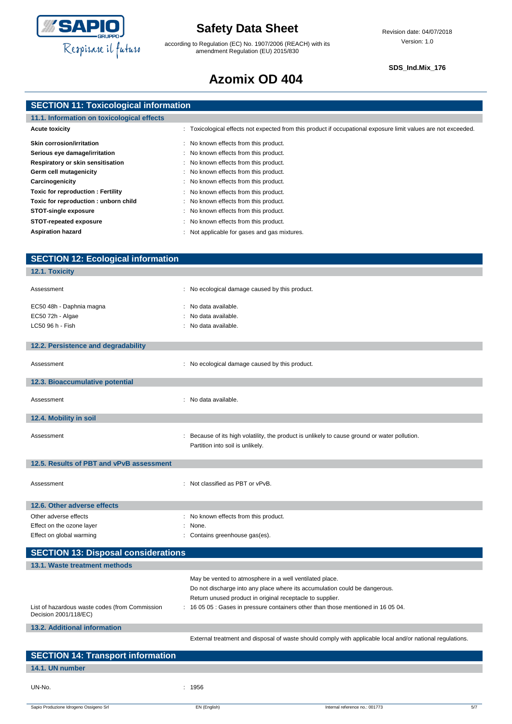

according to Regulation (EC) No. 1907/2006 (REACH) with its amendment Regulation (EU) 2015/830

#### **SDS\_Ind.Mix\_176**

# **Azomix OD 404**

| <b>SECTION 11: Toxicological information</b> |
|----------------------------------------------|
|                                              |

| 11.1. Information on toxicological effects |                                                                                                                |  |
|--------------------------------------------|----------------------------------------------------------------------------------------------------------------|--|
| <b>Acute toxicity</b>                      | : Toxicological effects not expected from this product if occupational exposure limit values are not exceeded. |  |
| <b>Skin corrosion/irritation</b>           | : No known effects from this product.                                                                          |  |
| Serious eye damage/irritation              | : No known effects from this product.                                                                          |  |
| Respiratory or skin sensitisation          | : No known effects from this product.                                                                          |  |
| Germ cell mutagenicity                     | : No known effects from this product.                                                                          |  |
| Carcinogenicity                            | : No known effects from this product.                                                                          |  |
| <b>Toxic for reproduction: Fertility</b>   | : No known effects from this product.                                                                          |  |
| Toxic for reproduction : unborn child      | : No known effects from this product.                                                                          |  |
| <b>STOT-single exposure</b>                | : No known effects from this product.                                                                          |  |
| STOT-repeated exposure                     | : No known effects from this product.                                                                          |  |
| <b>Aspiration hazard</b>                   | Not applicable for gases and gas mixtures.                                                                     |  |

| <b>SECTION 12: Ecological information</b>                               |                                                                                                           |
|-------------------------------------------------------------------------|-----------------------------------------------------------------------------------------------------------|
| 12.1. Toxicity                                                          |                                                                                                           |
|                                                                         |                                                                                                           |
| Assessment                                                              | : No ecological damage caused by this product.                                                            |
| EC50 48h - Daphnia magna                                                | : No data available.                                                                                      |
| EC50 72h - Algae                                                        | No data available.                                                                                        |
| LC50 96 h - Fish                                                        | : No data available.                                                                                      |
|                                                                         |                                                                                                           |
| 12.2. Persistence and degradability                                     |                                                                                                           |
|                                                                         |                                                                                                           |
| Assessment                                                              | : No ecological damage caused by this product.                                                            |
|                                                                         |                                                                                                           |
| 12.3. Bioaccumulative potential                                         |                                                                                                           |
| Assessment                                                              | : No data available.                                                                                      |
|                                                                         |                                                                                                           |
| 12.4. Mobility in soil                                                  |                                                                                                           |
|                                                                         |                                                                                                           |
| Assessment                                                              | : Because of its high volatility, the product is unlikely to cause ground or water pollution.             |
|                                                                         | Partition into soil is unlikely.                                                                          |
|                                                                         |                                                                                                           |
| 12.5. Results of PBT and vPvB assessment                                |                                                                                                           |
|                                                                         | : Not classified as PBT or vPvB.                                                                          |
| Assessment                                                              |                                                                                                           |
|                                                                         |                                                                                                           |
| 12.6. Other adverse effects                                             |                                                                                                           |
| Other adverse effects                                                   | : No known effects from this product.                                                                     |
| Effect on the ozone layer                                               | : None.                                                                                                   |
| Effect on global warming                                                | : Contains greenhouse gas(es).                                                                            |
| <b>SECTION 13: Disposal considerations</b>                              |                                                                                                           |
| 13.1. Waste treatment methods                                           |                                                                                                           |
|                                                                         |                                                                                                           |
|                                                                         | May be vented to atmosphere in a well ventilated place.                                                   |
|                                                                         | Do not discharge into any place where its accumulation could be dangerous.                                |
|                                                                         | Return unused product in original receptacle to supplier.                                                 |
| List of hazardous waste codes (from Commission<br>Decision 2001/118/EC) | 16 05 05 : Gases in pressure containers other than those mentioned in 16 05 04.                           |
|                                                                         |                                                                                                           |
| 13.2. Additional information                                            |                                                                                                           |
|                                                                         | External treatment and disposal of waste should comply with applicable local and/or national regulations. |
| <b>SECTION 14: Transport information</b>                                |                                                                                                           |
|                                                                         |                                                                                                           |
| 14.1. UN number                                                         |                                                                                                           |

Sapio Produzione Idrogeno Ossigeno Srl **EN (English)** EN (English) and EN (English) and English internal reference no.: 001773 5/7

UN-No. : 1956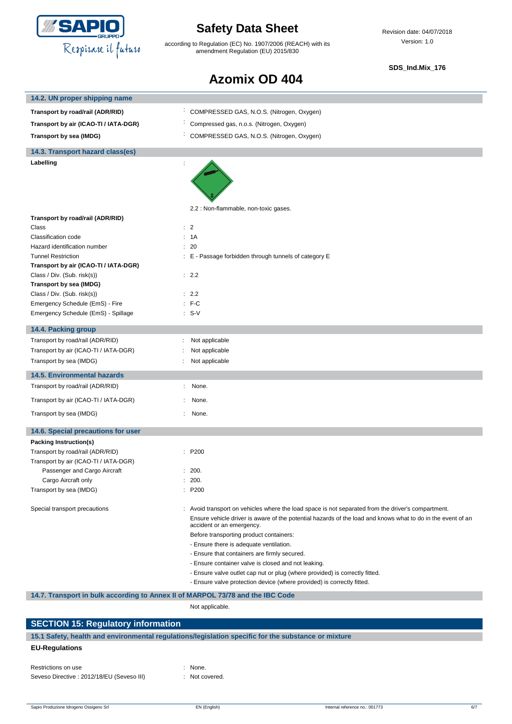

according to Regulation (EC) No. 1907/2006 (REACH) with its amendment Regulation (EU) 2015/830

Revision date: 04/07/2018 Version: 1.0

#### **SDS\_Ind.Mix\_176**

### **Azomix OD 404**

| 14.2. UN proper shipping name                                                  |    |                                                                                                                                          |
|--------------------------------------------------------------------------------|----|------------------------------------------------------------------------------------------------------------------------------------------|
| Transport by road/rail (ADR/RID)                                               | ÷. | COMPRESSED GAS, N.O.S. (Nitrogen, Oxygen)                                                                                                |
| Transport by air (ICAO-TI / IATA-DGR)                                          |    | Compressed gas, n.o.s. (Nitrogen, Oxygen)                                                                                                |
| Transport by sea (IMDG)                                                        |    | COMPRESSED GAS, N.O.S. (Nitrogen, Oxygen)                                                                                                |
| 14.3. Transport hazard class(es)                                               |    |                                                                                                                                          |
| Labelling                                                                      |    |                                                                                                                                          |
|                                                                                |    |                                                                                                                                          |
|                                                                                |    | 2.2 : Non-flammable, non-toxic gases.                                                                                                    |
| Transport by road/rail (ADR/RID)                                               |    |                                                                                                                                          |
| Class                                                                          |    | $\therefore$ 2                                                                                                                           |
| Classification code                                                            |    | : 1A                                                                                                                                     |
| Hazard identification number                                                   |    | : 20                                                                                                                                     |
| <b>Tunnel Restriction</b>                                                      |    | E - Passage forbidden through tunnels of category E                                                                                      |
| Transport by air (ICAO-TI / IATA-DGR)<br>Class / Div. (Sub. risk(s))           |    | : 2.2                                                                                                                                    |
| Transport by sea (IMDG)                                                        |    |                                                                                                                                          |
| Class / Div. (Sub. risk(s))                                                    |    | : 2.2                                                                                                                                    |
| Emergency Schedule (EmS) - Fire                                                |    | $:$ F-C                                                                                                                                  |
| Emergency Schedule (EmS) - Spillage                                            |    | $: S-V$                                                                                                                                  |
| 14.4. Packing group                                                            |    |                                                                                                                                          |
| Transport by road/rail (ADR/RID)                                               | ÷  | Not applicable                                                                                                                           |
| Transport by air (ICAO-TI / IATA-DGR)                                          |    | Not applicable                                                                                                                           |
| Transport by sea (IMDG)                                                        |    | Not applicable                                                                                                                           |
| <b>14.5. Environmental hazards</b>                                             |    |                                                                                                                                          |
| Transport by road/rail (ADR/RID)                                               |    | None.                                                                                                                                    |
| Transport by air (ICAO-TI / IATA-DGR)                                          |    | None.                                                                                                                                    |
| Transport by sea (IMDG)                                                        |    | None.                                                                                                                                    |
| 14.6. Special precautions for user                                             |    |                                                                                                                                          |
| Packing Instruction(s)                                                         |    |                                                                                                                                          |
| Transport by road/rail (ADR/RID)                                               |    | P200                                                                                                                                     |
| Transport by air (ICAO-TI / IATA-DGR)                                          |    |                                                                                                                                          |
| Passenger and Cargo Aircraft                                                   |    | : 200.                                                                                                                                   |
| Cargo Aircraft only                                                            |    | : 200.                                                                                                                                   |
| Transport by sea (IMDG)                                                        |    | : P200                                                                                                                                   |
| Special transport precautions                                                  |    | : Avoid transport on vehicles where the load space is not separated from the driver's compartment.                                       |
|                                                                                |    | Ensure vehicle driver is aware of the potential hazards of the load and knows what to do in the event of an<br>accident or an emergency. |
|                                                                                |    | Before transporting product containers:                                                                                                  |
|                                                                                |    | - Ensure there is adequate ventilation.                                                                                                  |
|                                                                                |    | - Ensure that containers are firmly secured.                                                                                             |
|                                                                                |    | - Ensure container valve is closed and not leaking.                                                                                      |
|                                                                                |    | - Ensure valve outlet cap nut or plug (where provided) is correctly fitted.                                                              |
|                                                                                |    | - Ensure valve protection device (where provided) is correctly fitted.                                                                   |
| 14.7. Transport in bulk according to Annex II of MARPOL 73/78 and the IBC Code |    |                                                                                                                                          |
|                                                                                |    | Not applicable.                                                                                                                          |

### **SECTION 15: Regulatory information 15.1 Safety, health and environmental regulations/legislation specific for the substance or mixture EU-Regulations**

| Restrictions on use                        |  |
|--------------------------------------------|--|
| Seveso Directive : 2012/18/EU (Seveso III) |  |

: None.

: Not covered.